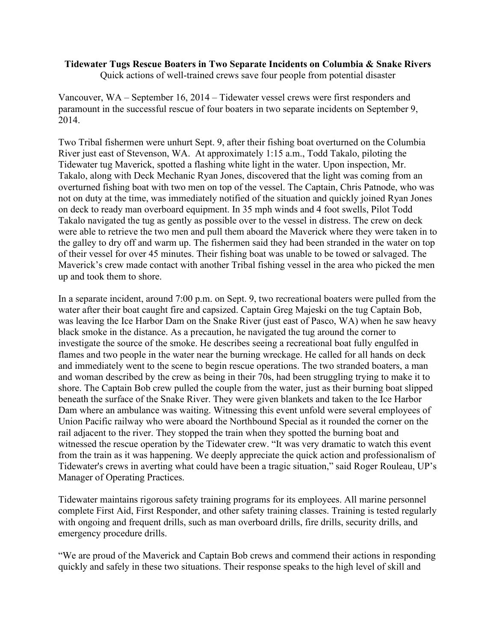## **Tidewater Tugs Rescue Boaters in Two Separate Incidents on Columbia & Snake Rivers** Quick actions of well-trained crews save four people from potential disaster

Vancouver, WA – September 16, 2014 – Tidewater vessel crews were first responders and paramount in the successful rescue of four boaters in two separate incidents on September 9, 2014.

Two Tribal fishermen were unhurt Sept. 9, after their fishing boat overturned on the Columbia River just east of Stevenson, WA. At approximately 1:15 a.m., Todd Takalo, piloting the Tidewater tug Maverick, spotted a flashing white light in the water. Upon inspection, Mr. Takalo, along with Deck Mechanic Ryan Jones, discovered that the light was coming from an overturned fishing boat with two men on top of the vessel. The Captain, Chris Patnode, who was not on duty at the time, was immediately notified of the situation and quickly joined Ryan Jones on deck to ready man overboard equipment. In 35 mph winds and 4 foot swells, Pilot Todd Takalo navigated the tug as gently as possible over to the vessel in distress. The crew on deck were able to retrieve the two men and pull them aboard the Maverick where they were taken in to the galley to dry off and warm up. The fishermen said they had been stranded in the water on top of their vessel for over 45 minutes. Their fishing boat was unable to be towed or salvaged. The Maverick's crew made contact with another Tribal fishing vessel in the area who picked the men up and took them to shore.

In a separate incident, around 7:00 p.m. on Sept. 9, two recreational boaters were pulled from the water after their boat caught fire and capsized. Captain Greg Majeski on the tug Captain Bob, was leaving the Ice Harbor Dam on the Snake River (just east of Pasco, WA) when he saw heavy black smoke in the distance. As a precaution, he navigated the tug around the corner to investigate the source of the smoke. He describes seeing a recreational boat fully engulfed in flames and two people in the water near the burning wreckage. He called for all hands on deck and immediately went to the scene to begin rescue operations. The two stranded boaters, a man and woman described by the crew as being in their 70s, had been struggling trying to make it to shore. The Captain Bob crew pulled the couple from the water, just as their burning boat slipped beneath the surface of the Snake River. They were given blankets and taken to the Ice Harbor Dam where an ambulance was waiting. Witnessing this event unfold were several employees of Union Pacific railway who were aboard the Northbound Special as it rounded the corner on the rail adjacent to the river. They stopped the train when they spotted the burning boat and witnessed the rescue operation by the Tidewater crew. "It was very dramatic to watch this event from the train as it was happening. We deeply appreciate the quick action and professionalism of Tidewater's crews in averting what could have been a tragic situation," said Roger Rouleau, UP's Manager of Operating Practices.

Tidewater maintains rigorous safety training programs for its employees. All marine personnel complete First Aid, First Responder, and other safety training classes. Training is tested regularly with ongoing and frequent drills, such as man overboard drills, fire drills, security drills, and emergency procedure drills.

"We are proud of the Maverick and Captain Bob crews and commend their actions in responding quickly and safely in these two situations. Their response speaks to the high level of skill and